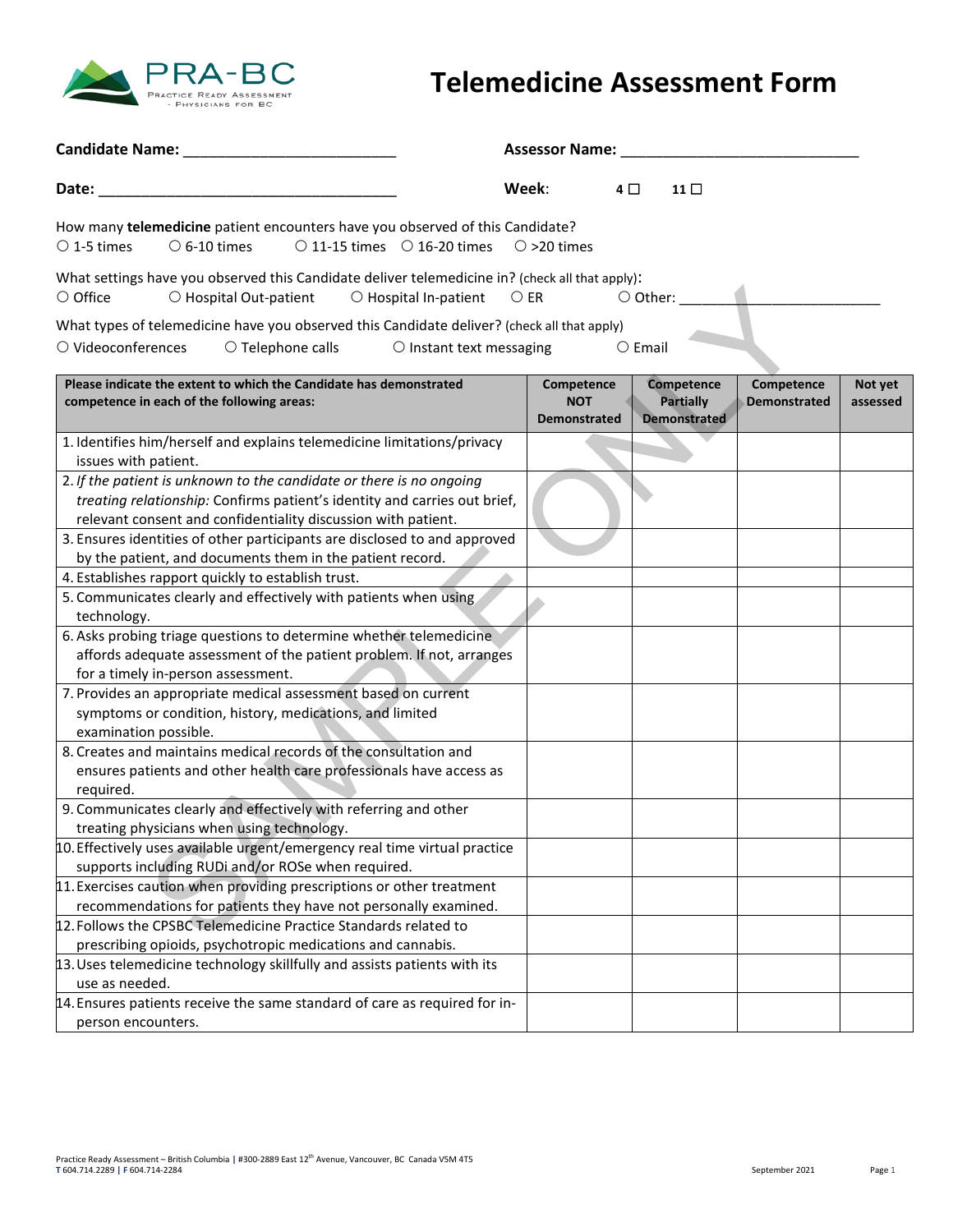

## **Telemedicine Assessment Form**

|                                                                                                                                                                                                                    | <b>Assessor Name:</b>                           |                                                       |                                   |                     |
|--------------------------------------------------------------------------------------------------------------------------------------------------------------------------------------------------------------------|-------------------------------------------------|-------------------------------------------------------|-----------------------------------|---------------------|
| Date:                                                                                                                                                                                                              | Week:                                           | 4 □<br>11 <sup>1</sup>                                |                                   |                     |
| How many telemedicine patient encounters have you observed of this Candidate?<br>$\circ$ 6-10 times<br>$\circ$ 11-15 times $\circ$ 16-20 times<br>$\circ$ 1-5 times                                                | $\circ$ >20 times                               |                                                       |                                   |                     |
| What settings have you observed this Candidate deliver telemedicine in? (check all that apply):<br>$\circ$ Office<br>○ Hospital Out-patient<br>$\bigcirc$ Hospital In-patient                                      | $\bigcirc$ er                                   |                                                       |                                   |                     |
| What types of telemedicine have you observed this Candidate deliver? (check all that apply)<br>$\bigcirc$ Videoconferences<br>$\circ$ Telephone calls<br>$\circ$ Instant text messaging                            |                                                 | $\circ$ Email                                         |                                   |                     |
| Please indicate the extent to which the Candidate has demonstrated<br>competence in each of the following areas:                                                                                                   | Competence<br><b>NOT</b><br><b>Demonstrated</b> | Competence<br><b>Partially</b><br><b>Demonstrated</b> | Competence<br><b>Demonstrated</b> | Not yet<br>assessed |
| 1. Identifies him/herself and explains telemedicine limitations/privacy<br>issues with patient.                                                                                                                    |                                                 |                                                       |                                   |                     |
| 2. If the patient is unknown to the candidate or there is no ongoing<br>treating relationship: Confirms patient's identity and carries out brief,<br>relevant consent and confidentiality discussion with patient. |                                                 |                                                       |                                   |                     |
| 3. Ensures identities of other participants are disclosed to and approved<br>by the patient, and documents them in the patient record.                                                                             |                                                 |                                                       |                                   |                     |
| 4. Establishes rapport quickly to establish trust.<br>5. Communicates clearly and effectively with patients when using                                                                                             |                                                 |                                                       |                                   |                     |
| technology.                                                                                                                                                                                                        |                                                 |                                                       |                                   |                     |
| 6. Asks probing triage questions to determine whether telemedicine<br>affords adequate assessment of the patient problem. If not, arranges<br>for a timely in-person assessment.                                   |                                                 |                                                       |                                   |                     |
| 7. Provides an appropriate medical assessment based on current<br>symptoms or condition, history, medications, and limited<br>examination possible.                                                                |                                                 |                                                       |                                   |                     |
| 8. Creates and maintains medical records of the consultation and<br>ensures patients and other health care professionals have access as<br>required.                                                               |                                                 |                                                       |                                   |                     |
| 9. Communicates clearly and effectively with referring and other<br>treating physicians when using technology.                                                                                                     |                                                 |                                                       |                                   |                     |
| 10. Effectively uses available urgent/emergency real time virtual practice<br>supports including RUDi and/or ROSe when required.                                                                                   |                                                 |                                                       |                                   |                     |
| 11. Exercises caution when providing prescriptions or other treatment<br>recommendations for patients they have not personally examined.                                                                           |                                                 |                                                       |                                   |                     |
| 12. Follows the CPSBC Telemedicine Practice Standards related to<br>prescribing opioids, psychotropic medications and cannabis.                                                                                    |                                                 |                                                       |                                   |                     |
| 13. Uses telemedicine technology skillfully and assists patients with its<br>use as needed.                                                                                                                        |                                                 |                                                       |                                   |                     |
| 14. Ensures patients receive the same standard of care as required for in-<br>person encounters.                                                                                                                   |                                                 |                                                       |                                   |                     |